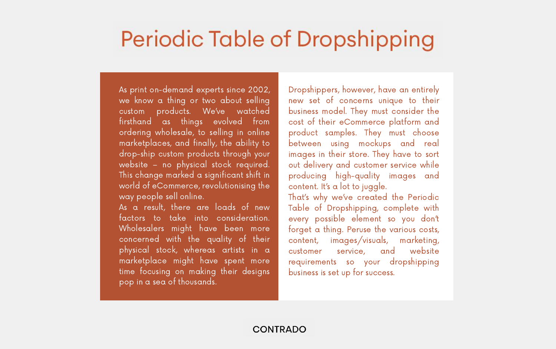### Periodic Table of Dropshipping

As print on-demand experts since 2002, we know a thing or two about selling custom products. We've watched firsthand as things evolved from ordering wholesale, to selling in online marketplaces, and finally, the ability to drop-ship custom products through your website – no physical stock required. This change marked a significant shift in world of eCommerce, revolutionising the way people sell online. As a result, there are loads of new factors to take into consideration. Wholesalers might have been more concerned with the quality of their physical stock, whereas artists in a marketplace might have spent more time focusing on making their designs pop in a sea of thousands.

Dropshippers, however, have an entirely new set of concerns unique to their business model. They must consider the cost of their eCommerce platform and product samples. They must choose between using mockups and real images in their store. They have to sort out delivery and customer service while producing high-quality images and content. It's a lot to juggle. That's why we've created the Periodic

Table of Dropshipping, complete with every possible element so you don't forget a thing. Peruse the various costs, content, images/visuals, marketing, customer service, and website requirements so your dropshipping business is set up for success.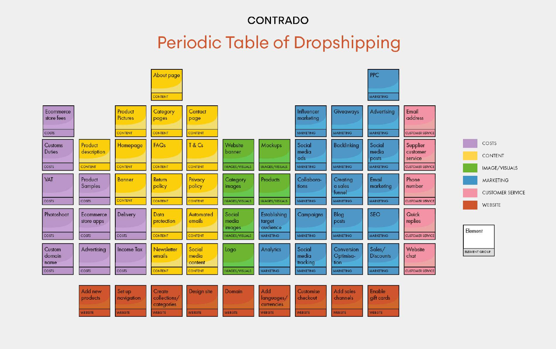

### **CONTRADO Periodic Table of Dropshipping**



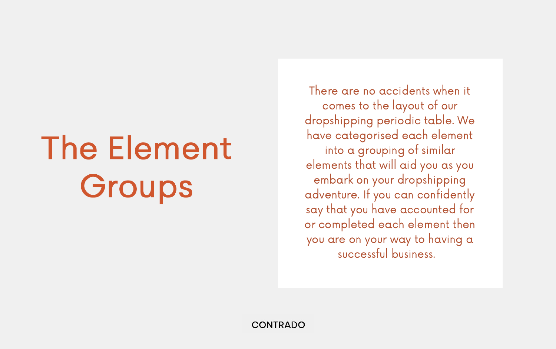There are no accidents when it

# The Element Groups

comes to the layout of our dropshipping periodic table. We have categorised each element into a grouping of similar elements that will aid you as you embark on your dropshipping adventure. If you can confidently say that you have accounted for or completed each element then you are on your way to having a successful business.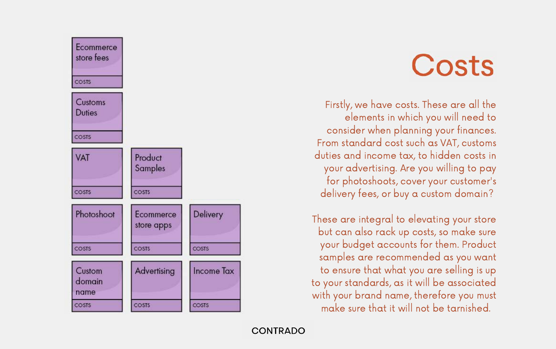

Firstly, we have costs. These are all the elements in which you will need to consider when planning your finances. From standard cost such as VAT, customs duties and income tax, to hidden costs in your advertising. Are you willing to pay for photoshoots, cover your customer's delivery fees, or buy a custom domain?

These are integral to elevating your store but can also rack up costs, so make sure your budget accounts for them. Product samples are recommended as you want to ensure that what you are selling is up to your standards, as it will be associated with your brand name, therefore you must make sure that it will not be tarnished.

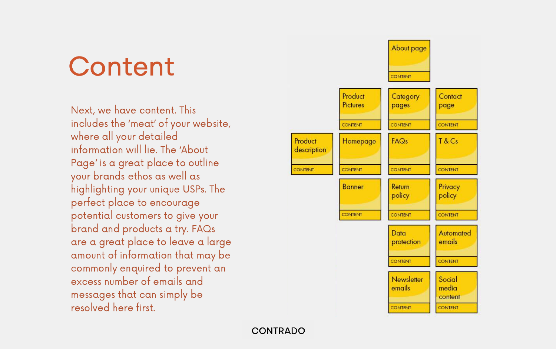### **Content**

Next, we have content. This includes the 'meat' of your website, where all your detailed information will lie. The 'About Page' is a great place to outline your brands ethos as well as highlighting your unique USPs. The perfect place to encourage potential customers to give your brand and products a try. FAQs are a great place to leave a large amount of information that may be commonly enquired to prevent an excess number of emails and messages that can simply be resolved here first.

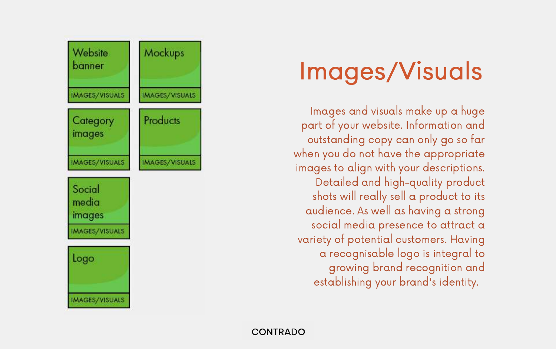

### Images/Visuals

Images and visuals make up a huge part of your website. Information and outstanding copy can only go so far when you do not have the appropriate images to align with your descriptions. Detailed and high-quality product shots will really sell a product to its audience. As well as having a strong social media presence to attract a variety of potential customers. Having a recognisable logo is integral to growing brand recognition and establishing your brand's identity.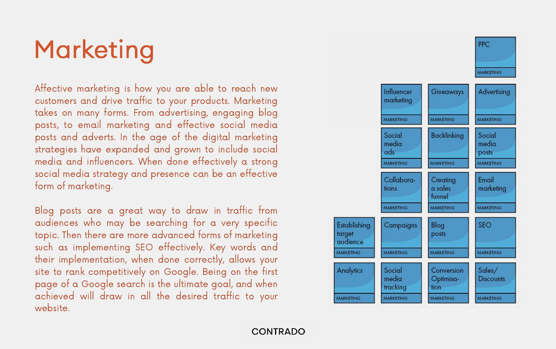## Marketing

Affective marketing is how you are able to reach new customers and drive traffic to your products. Marketing takes on many forms. From advertising, engaging blog posts, to email marketing and effective social media posts and adverts. In the age of the digital marketing strategies have expanded and grown to include social media and influencers. When done effectively a strong social media strategy and presence can be an effective form of marketing.

Blog posts are a great way to draw in traffic from audiences who may be searching for a very specific topic. Then there are more advanced forms of marketing such as implementing SEO effectively. Key words and their implementation, when done correctly, allows your site to rank competitively on Google. Being on the first page of a Google search is the ultimate goal, and when achieved will draw in all the desired traffic to your website.

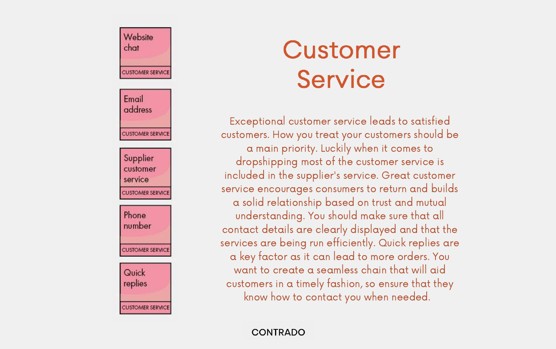### Website chat

**CUSTOMER SERVICE** 

Email

address

**CUSTOMER SERVICE** 

Supplier customer

service

Phone

CUSTOMER SERVICE

number

CUSTOMER SERVICE

Quick replies

CUSTOMER SERVICE

### Customer Service

Exceptional customer service leads to satisfied customers. How you treat your customers should be a main priority. Luckily when it comes to dropshipping most of the customer service is included in the supplier's service. Great customer service encourages consumers to return and builds a solid relationship based on trust and mutual understanding. You should make sure that all contact details are clearly displayed and that the services are being run efficiently. Quick replies are a key factor as it can lead to more orders. You want to create a seamless chain that will aid customers in a timely fashion, so ensure that they know how to contact you when needed.